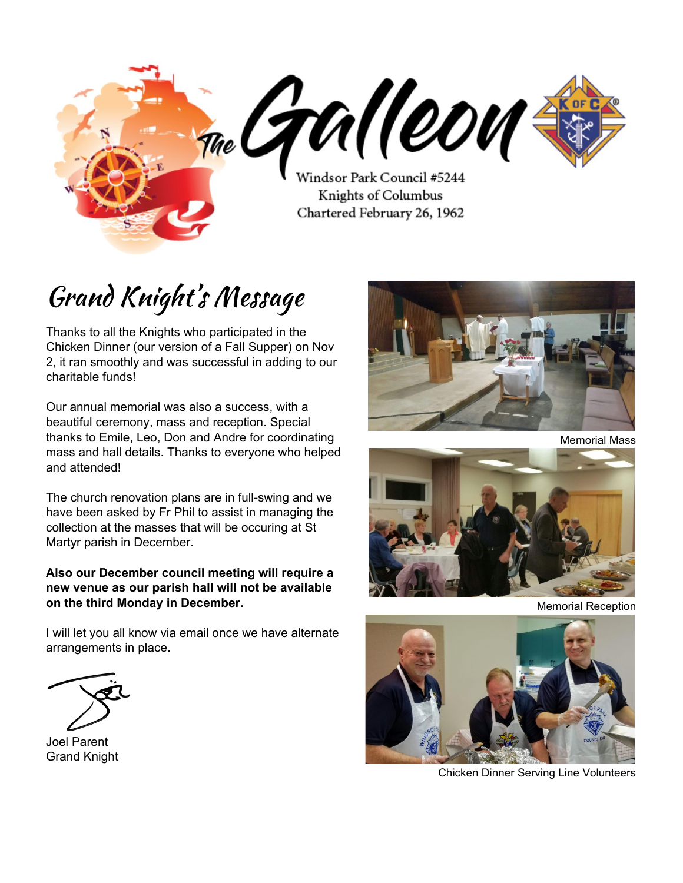

# Grand Knight' s Message

Thanks to all the Knights who participated in the Chicken Dinner (our version of a Fall Supper) on Nov 2, it ran smoothly and was successful in adding to our charitable funds!

Our annual memorial was also a success, with a beautiful ceremony, mass and reception. Special thanks to Emile, Leo, Don and Andre for coordinating mass and hall details. Thanks to everyone who helped and attended!

The church renovation plans are in full-swing and we have been asked by Fr Phil to assist in managing the collection at the masses that will be occuring at St Martyr parish in December.

#### **Also our December council meeting will require a new venue as our parish hall will not be available on the third Monday in December.**

I will let you all know via email once we have alternate arrangements in place.

Joel Parent Grand Knight



Memorial Mass



Memorial Reception



Chicken Dinner Serving Line Volunteers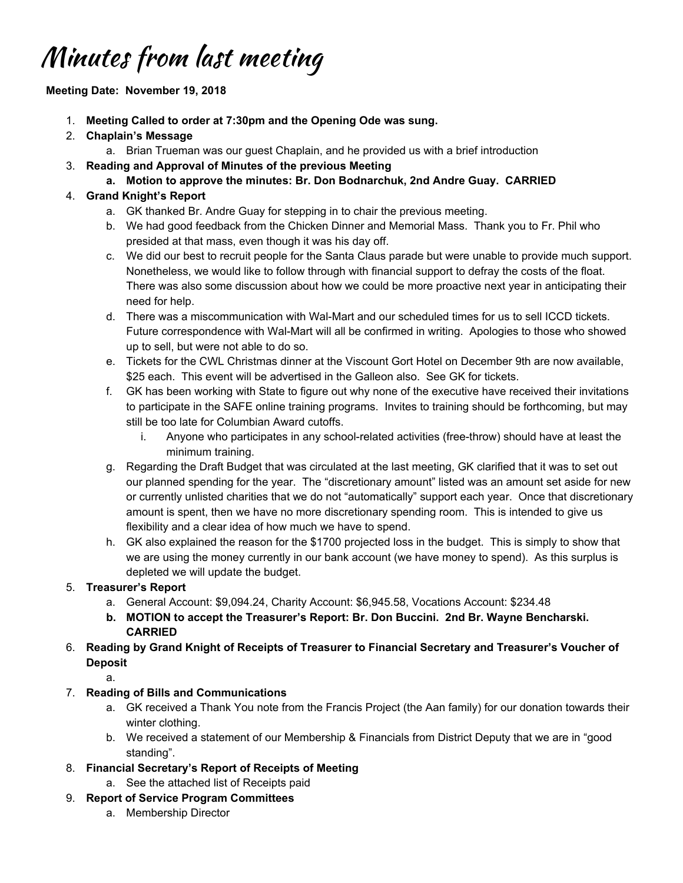## Minutes from last meeting

#### **Meeting Date: November 19, 2018**

- 1. **Meeting Called to order at 7:30pm and the Opening Ode was sung.**
- 2. **Chaplain's Message**
	- a. Brian Trueman was our guest Chaplain, and he provided us with a brief introduction
- 3. **Reading and Approval of Minutes of the previous Meeting**
	- **a. Motion to approve the minutes: Br. Don Bodnarchuk, 2nd Andre Guay. CARRIED**

### 4. **Grand Knight's Report**

- a. GK thanked Br. Andre Guay for stepping in to chair the previous meeting.
- b. We had good feedback from the Chicken Dinner and Memorial Mass. Thank you to Fr. Phil who presided at that mass, even though it was his day off.
- c. We did our best to recruit people for the Santa Claus parade but were unable to provide much support. Nonetheless, we would like to follow through with financial support to defray the costs of the float. There was also some discussion about how we could be more proactive next year in anticipating their need for help.
- d. There was a miscommunication with Wal-Mart and our scheduled times for us to sell ICCD tickets. Future correspondence with Wal-Mart will all be confirmed in writing. Apologies to those who showed up to sell, but were not able to do so.
- e. Tickets for the CWL Christmas dinner at the Viscount Gort Hotel on December 9th are now available, \$25 each. This event will be advertised in the Galleon also. See GK for tickets.
- f. GK has been working with State to figure out why none of the executive have received their invitations to participate in the SAFE online training programs. Invites to training should be forthcoming, but may still be too late for Columbian Award cutoffs.
	- i. Anyone who participates in any school-related activities (free-throw) should have at least the minimum training.
- g. Regarding the Draft Budget that was circulated at the last meeting, GK clarified that it was to set out our planned spending for the year. The "discretionary amount" listed was an amount set aside for new or currently unlisted charities that we do not "automatically" support each year. Once that discretionary amount is spent, then we have no more discretionary spending room. This is intended to give us flexibility and a clear idea of how much we have to spend.
- h. GK also explained the reason for the \$1700 projected loss in the budget. This is simply to show that we are using the money currently in our bank account (we have money to spend). As this surplus is depleted we will update the budget.

#### 5. **Treasurer's Report**

- a. General Account: \$9,094.24, Charity Account: \$6,945.58, Vocations Account: \$234.48
- **b. MOTION to accept the Treasurer's Report: Br. Don Buccini. 2nd Br. Wayne Bencharski. CARRIED**

#### 6. **Reading by Grand Knight of Receipts of Treasurer to Financial Secretary and Treasurer's Voucher of Deposit**

a.

- 7. **Reading of Bills and Communications**
	- a. GK received a Thank You note from the Francis Project (the Aan family) for our donation towards their winter clothing.
	- b. We received a statement of our Membership & Financials from District Deputy that we are in "good standing".
- 8. **Financial Secretary's Report of Receipts of Meeting**
	- a. See the attached list of Receipts paid
- 9. **Report of Service Program Committees**
	- a. Membership Director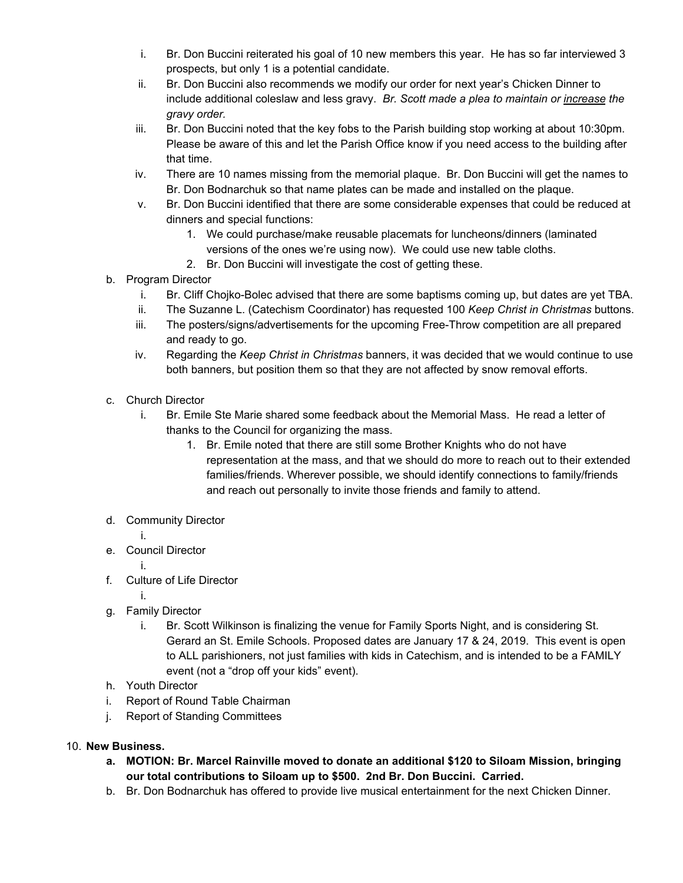- i. Br. Don Buccini reiterated his goal of 10 new members this year. He has so far interviewed 3 prospects, but only 1 is a potential candidate.
- ii. Br. Don Buccini also recommends we modify our order for next year's Chicken Dinner to include additional coleslaw and less gravy. *Br. Scott made a plea to maintain or increase the gravy order.*
- iii. Br. Don Buccini noted that the key fobs to the Parish building stop working at about 10:30pm. Please be aware of this and let the Parish Office know if you need access to the building after that time.
- iv. There are 10 names missing from the memorial plaque. Br. Don Buccini will get the names to Br. Don Bodnarchuk so that name plates can be made and installed on the plaque.
- v. Br. Don Buccini identified that there are some considerable expenses that could be reduced at dinners and special functions:
	- 1. We could purchase/make reusable placemats for luncheons/dinners (laminated versions of the ones we're using now). We could use new table cloths.
	- 2. Br. Don Buccini will investigate the cost of getting these.
- b. Program Director
	- i. Br. Cliff Chojko-Bolec advised that there are some baptisms coming up, but dates are yet TBA.
	- ii. The Suzanne L. (Catechism Coordinator) has requested 100 *Keep Christ in Christmas* buttons.
	- iii. The posters/signs/advertisements for the upcoming Free-Throw competition are all prepared and ready to go.
	- iv. Regarding the *Keep Christ in Christmas* banners, it was decided that we would continue to use both banners, but position them so that they are not affected by snow removal efforts.
- c. Church Director
	- i. Br. Emile Ste Marie shared some feedback about the Memorial Mass. He read a letter of thanks to the Council for organizing the mass.
		- 1. Br. Emile noted that there are still some Brother Knights who do not have representation at the mass, and that we should do more to reach out to their extended families/friends. Wherever possible, we should identify connections to family/friends and reach out personally to invite those friends and family to attend.
- d. Community Director
	- i.
- e. Council Director
	- i.
- f. Culture of Life Director
	- i.
- g. Family Director
	- i. Br. Scott Wilkinson is finalizing the venue for Family Sports Night, and is considering St. Gerard an St. Emile Schools. Proposed dates are January 17 & 24, 2019. This event is open to ALL parishioners, not just families with kids in Catechism, and is intended to be a FAMILY event (not a "drop off your kids" event).
- h. Youth Director
- i. Report of Round Table Chairman
- j. Report of Standing Committees

#### 10. **New Business.**

- **a. MOTION: Br. Marcel Rainville moved to donate an additional \$120 to Siloam Mission, bringing our total contributions to Siloam up to \$500. 2nd Br. Don Buccini. Carried.**
- b. Br. Don Bodnarchuk has offered to provide live musical entertainment for the next Chicken Dinner.